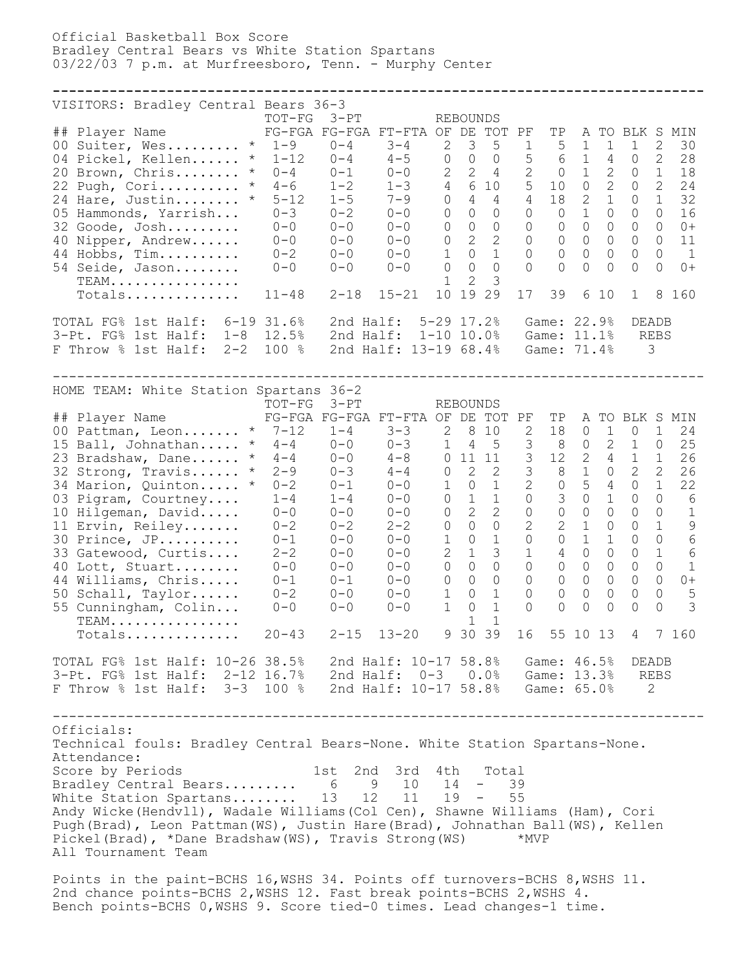Official Basketball Box Score Bradley Central Bears vs White Station Spartans 03/22/03 7 p.m. at Murfreesboro, Tenn. - Murphy Center

**--------------------------------------------------------------------------------** VISITORS: Bradley Central Bears 36-3 TOT-FG 3-PT REBOUNDS ## Player Name FG-FGA FG-FGA FT-FTA OF DE TOT PF TP A TO BLK S MIN 00 Suiter, Wes......... \* 1-9 0-4 3-4 2 3 5 1 5 1 1 1 2 30 04 Pickel, Kellen...... \* 1-12 0-4 4-5 0 0 0 5 6 1 4 0 2 28 20 Brown, Chris........ \* 0-4 0-1 0-0 2 2 4 2 0 1 2 0 1 18 22 Pugh, Cori.......... \* 4-6 1-2 1-3 4 6 10 5 10 0 2 0 2 24 24 Hare, Justin........ \* 5-12 1-5 7-9 0 4 4 4 18 2 1 0 1 32 05 Hammonds, Yarrish... 0-3 0-2 0-0 0 0 0 0 0 1 0 0 0 16 32 Goode, Josh......... 0-0 0-0 0-0 0 0 0 0 0 0 0 0 0 0+ 40 Nipper, Andrew...... 0-0 0-0 0-0 0 2 2 0 0 0 0 0 0 11 44 Hobbs, Tim.......... 0-2 0-0 0-0 1 0 1 0 0 0 0 0 0 1 54 Seide, Jason........ 0-0 0-0 0-0 0 0 0 0 0 0 0 0 0 0+ TEAM................ 1 2 3 Totals.............. 11-48 2-18 15-21 10 19 29 17 39 6 10 1 8 160 TOTAL FG% 1st Half: 6-19 31.6% 2nd Half: 5-29 17.2% Game: 22.9% DEADB 3-Pt. FG% 1st Half: 1-8 12.5% 2nd Half: 1-10 10.0% Game: 11.1% REBS F Throw % 1st Half: 2-2 100 % 2nd Half: 13-19 68.4% Game: 71.4% 3 -------------------------------------------------------------------------------- HOME TEAM: White Station Spartans 36-2 TOT-FG 3-PT REBOUNDS ## Player Name FG-FGA FG-FGA FT-FTA OF DE TOT PF TP A TO BLK S MIN  $\overline{00}$  Pattman, Leon....... \* 7-12 1-4 3-3 2 8 10 2 18 0 1 0 1 24 15 Ball, Johnathan..... \* 4-4 0-0 0-3 1 4 5 3 8 0 2 1 0 25

| 23 Bradshaw, Dane<br>$\star$    | $4 - 4$        | $0 - 0$   | $4 - 8$               |                | 0 11 11       |                | 3             | 12             | 2              | 4              | $\overline{1}$ |               | 26            |
|---------------------------------|----------------|-----------|-----------------------|----------------|---------------|----------------|---------------|----------------|----------------|----------------|----------------|---------------|---------------|
| 32 Strong, Travis<br>$\star$    | $2 - 9$        | $0 - 3$   | $4 - 4$               | $\overline{0}$ | 2             | $\overline{2}$ | $\mathcal{S}$ |                | 8 1            | $\Omega$       | $\mathcal{L}$  | $\mathcal{L}$ | 26            |
| 34 Marion, Quinton<br>$\star$   | $0 - 2$        | $0 - 1$   | $() - ()$             | $\mathbf{1}$   | $\cap$        |                | $\mathcal{P}$ | $\Omega$       | $\overline{5}$ | $\overline{4}$ | $\bigcap$      | 1             | 22            |
| 03 Pigram, Courtney             | $1 - 4$        | $1 - 4$   | $0 - 0$               | $\Omega$       |               |                | $\Omega$      | 3              | $\bigcap$      |                | $\Omega$       | $\Omega$      | 6             |
| 10 Hilgeman, David              | $0 - 0$        | $0 - 0$   | $0 - 0$               | $\Omega$       | $\mathcal{L}$ | $\mathcal{L}$  | $\Omega$      | $\bigcap$      | $\bigcap$      | $\Omega$       | $\bigcap$      | $\Omega$      |               |
| 11 Ervin, Reiley                | $0 - 2$        | $0 - 2$   | $2 - 2$               | $\Omega$       | $\cap$        |                | $\mathcal{L}$ | $\overline{2}$ | $\overline{1}$ | $\Omega$       | $\bigcap$      |               | 9             |
| 30 Prince, JP                   | $0 - 1$        | $() - ()$ | $0 - 0$               | $\mathbf{1}$   | $\cap$        |                |               | $\Omega$       | $\mathbf{1}$   | $\mathbf{1}$   | $\Omega$       | $\Omega$      | 6             |
| 33 Gatewood, Curtis             | $2 - 2$        | $0 - 0$   | $0 - 0$               |                | $2 \quad 1$   | 3              |               | 4              | $\Omega$       | $\cap$         | $\bigcap$      | $\mathbf{1}$  | 6             |
| 40 Lott, Stuart                 | $0 - 0$        | $0 - 0$   | $0 - 0$               | $\Omega$       | $\bigcap$     | $\cap$         |               | $\Omega$       | $\bigcap$      | $\Omega$       | $\Omega$       | $\Omega$      |               |
| 44 Williams, Chris              | $0 - 1$        | $0 - 1$   | $0 - 0$               | $\Omega$       | $\cap$        |                |               | $\bigcap$      | $\Omega$       | $\Omega$       | $\Omega$       | $\Omega$      | $0+$          |
| 50 Schall, Taylor               | $0 - 2$        | $0 - 0$   | $0 - 0$               |                | $\cap$        |                |               | $\Omega$       | $\Omega$       | $\Omega$       | $\Omega$       | $\bigcap$     | .5            |
| 55 Cunningham, Colin            | $0 - 0$        | $0 - 0$   | $0 - 0$               |                | $\cap$        |                |               | $\Omega$       | $\Omega$       | $\bigcap$      | $\bigcap$      | $\bigcap$     | $\mathcal{S}$ |
| TEAM.                           |                |           |                       |                |               |                |               |                |                |                |                |               |               |
| Totals                          | $20 - 43$      | $2 - 15$  | $13 - 20$             |                | 9 30 39       |                | 16            |                | 55 10 13       |                | $\overline{4}$ |               | 7160          |
| TOTAL FG% 1st Half: 10-26 38.5% |                |           | 2nd Half: 10-17 58.8% |                |               |                |               | Game: $46.5%$  |                |                |                | <b>DEADB</b>  |               |
| 3-Pt. FG% 1st Half:             | $2 - 12$ 16.7% |           | 2nd Half: $0-3$       |                |               | 0.0%           |               | Game: 13.3%    |                |                |                | <b>REBS</b>   |               |
| F Throw % 1st Half:<br>$3 - 3$  | 100 %          |           | 2nd Half: 10-17 58.8% |                |               |                |               | Game: 65.0%    |                |                |                | $\mathcal{L}$ |               |
|                                 |                |           |                       |                |               |                |               |                |                |                |                |               |               |

-------------------------------------------------------------------------------- Officials: Technical fouls: Bradley Central Bears-None. White Station Spartans-None. Attendance: Score by Periods 1st 2nd 3rd 4th Total Bradley Central Bears......... 6 9 10 14 - 39 White Station Spartans........ 13 12 11 19 - 55 Andy Wicke(Hendvll), Wadale Williams(Col Cen), Shawne Williams (Ham), Cori Pugh(Brad), Leon Pattman(WS), Justin Hare(Brad), Johnathan Ball(WS), Kellen Pickel(Brad), \*Dane Bradshaw(WS), Travis Strong(WS) \*MVP All Tournament Team

Points in the paint-BCHS 16, WSHS 34. Points off turnovers-BCHS 8, WSHS 11. 2nd chance points-BCHS 2,WSHS 12. Fast break points-BCHS 2,WSHS 4. Bench points-BCHS 0,WSHS 9. Score tied-0 times. Lead changes-1 time.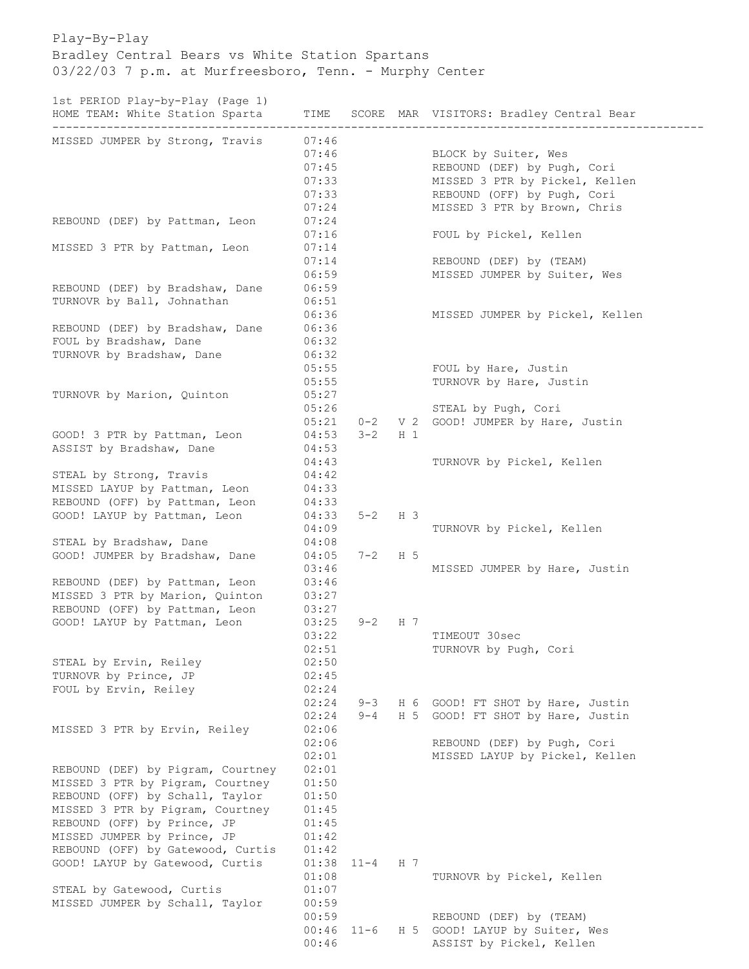Play-By-Play Bradley Central Bears vs White Station Spartans 03/22/03 7 p.m. at Murfreesboro, Tenn. - Murphy Center

1st PERIOD Play-by-Play (Page 1)<br>HOME TEAM: White Station Sparta

| roc finitol frag by frag (fago f)<br>HOME TEAM: White Station Sparta | TIME           |                    |                | SCORE MAR VISITORS: Bradley Central Bear |
|----------------------------------------------------------------------|----------------|--------------------|----------------|------------------------------------------|
| MISSED JUMPER by Strong, Travis                                      | 07:46          |                    |                |                                          |
|                                                                      | 07:46          |                    |                | BLOCK by Suiter, Wes                     |
|                                                                      | 07:45          |                    |                | REBOUND (DEF) by Pugh, Cori              |
|                                                                      | 07:33          |                    |                | MISSED 3 PTR by Pickel, Kellen           |
|                                                                      | 07:33          |                    |                | REBOUND (OFF) by Pugh, Cori              |
|                                                                      | 07:24          |                    |                | MISSED 3 PTR by Brown, Chris             |
| REBOUND (DEF) by Pattman, Leon                                       | 07:24          |                    |                |                                          |
|                                                                      | 07:16          |                    |                | FOUL by Pickel, Kellen                   |
| MISSED 3 PTR by Pattman, Leon                                        | 07:14          |                    |                |                                          |
|                                                                      | 07:14          |                    |                | REBOUND (DEF) by (TEAM)                  |
|                                                                      | 06:59          |                    |                | MISSED JUMPER by Suiter, Wes             |
| REBOUND (DEF) by Bradshaw, Dane                                      | 06:59          |                    |                |                                          |
| TURNOVR by Ball, Johnathan                                           | 06:51          |                    |                |                                          |
|                                                                      | 06:36          |                    |                | MISSED JUMPER by Pickel, Kellen          |
| REBOUND (DEF) by Bradshaw, Dane                                      | 06:36          |                    |                |                                          |
| FOUL by Bradshaw, Dane                                               | 06:32          |                    |                |                                          |
| TURNOVR by Bradshaw, Dane                                            | 06:32          |                    |                |                                          |
|                                                                      | 05:55          |                    |                | FOUL by Hare, Justin                     |
|                                                                      | 05:55          |                    |                | TURNOVR by Hare, Justin                  |
| TURNOVR by Marion, Quinton                                           | 05:27<br>05:26 |                    |                |                                          |
|                                                                      | 05:21          |                    |                | STEAL by Pugh, Cori                      |
| GOOD! 3 PTR by Pattman, Leon                                         | 04:53          | $0 - 2$<br>$3 - 2$ | $H_1$          | V 2 GOOD! JUMPER by Hare, Justin         |
| ASSIST by Bradshaw, Dane                                             | 04:53          |                    |                |                                          |
|                                                                      | 04:43          |                    |                | TURNOVR by Pickel, Kellen                |
| STEAL by Strong, Travis                                              | 04:42          |                    |                |                                          |
| MISSED LAYUP by Pattman, Leon                                        | 04:33          |                    |                |                                          |
| REBOUND (OFF) by Pattman, Leon                                       | 04:33          |                    |                |                                          |
| GOOD! LAYUP by Pattman, Leon                                         | 04:33          | $5 - 2$            | H <sub>3</sub> |                                          |
|                                                                      | 04:09          |                    |                | TURNOVR by Pickel, Kellen                |
| STEAL by Bradshaw, Dane                                              | 04:08          |                    |                |                                          |
| GOOD! JUMPER by Bradshaw, Dane                                       | 04:05          | $7 - 2$            | H 5            |                                          |
|                                                                      | 03:46          |                    |                | MISSED JUMPER by Hare, Justin            |
| REBOUND (DEF) by Pattman, Leon                                       | 03:46          |                    |                |                                          |
| MISSED 3 PTR by Marion, Quinton                                      | 03:27          |                    |                |                                          |
| REBOUND (OFF) by Pattman, Leon                                       | 03:27          |                    |                |                                          |
| GOOD! LAYUP by Pattman, Leon                                         | 03:25          | $9 - 2$            | H 7            |                                          |
|                                                                      | 03:22          |                    |                | TIMEOUT 30sec                            |
|                                                                      | 02:51          |                    |                | TURNOVR by Pugh, Cori                    |
| STEAL by Ervin, Reiley                                               | 02:50          |                    |                |                                          |
| TURNOVR by Prince, JP                                                | 02:45          |                    |                |                                          |
| FOUL by Ervin, Reiley                                                | 02:24          |                    |                |                                          |
|                                                                      | 02:24          | $9 - 3$            |                | H 6 GOOD! FT SHOT by Hare, Justin        |
|                                                                      | 02:24          | $9 - 4$            | H <sub>5</sub> | GOOD! FT SHOT by Hare, Justin            |
| MISSED 3 PTR by Ervin, Reiley                                        | 02:06          |                    |                |                                          |
|                                                                      | 02:06          |                    |                | REBOUND (DEF) by Pugh, Cori              |
|                                                                      | 02:01          |                    |                | MISSED LAYUP by Pickel, Kellen           |
| REBOUND (DEF) by Pigram, Courtney                                    | 02:01          |                    |                |                                          |
| MISSED 3 PTR by Pigram, Courtney                                     | 01:50          |                    |                |                                          |
| REBOUND (OFF) by Schall, Taylor                                      | 01:50          |                    |                |                                          |
| MISSED 3 PTR by Pigram, Courtney                                     | 01:45          |                    |                |                                          |
| REBOUND (OFF) by Prince, JP                                          | 01:45          |                    |                |                                          |
| MISSED JUMPER by Prince, JP                                          | 01:42          |                    |                |                                          |
| REBOUND (OFF) by Gatewood, Curtis                                    | 01:42          |                    |                |                                          |
| GOOD! LAYUP by Gatewood, Curtis                                      | 01:38          | $11 - 4$           | H 7            |                                          |
|                                                                      | 01:08          |                    |                | TURNOVR by Pickel, Kellen                |
| STEAL by Gatewood, Curtis                                            | 01:07          |                    |                |                                          |
| MISSED JUMPER by Schall, Taylor                                      | 00:59          |                    |                |                                          |
|                                                                      | 00:59          |                    |                | REBOUND (DEF) by (TEAM)                  |
|                                                                      | 00:46          | $11 - 6$           |                | H 5 GOOD! LAYUP by Suiter, Wes           |
|                                                                      | 00:46          |                    |                | ASSIST by Pickel, Kellen                 |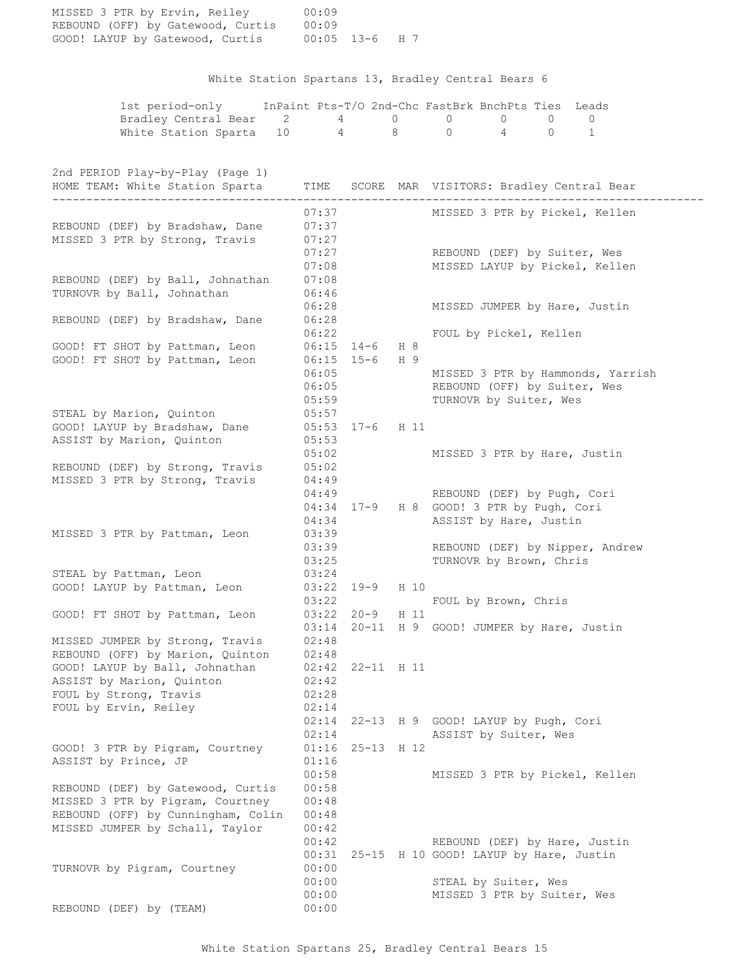| MISSED 3 PTR by Ervin, Reiley<br>REBOUND (OFF) by Gatewood, Curtis 00:09<br>GOOD! LAYUP by Gatewood, Curtis 00:05 13-6 H 7                     | 00:09          |            |      |                                                                         |
|------------------------------------------------------------------------------------------------------------------------------------------------|----------------|------------|------|-------------------------------------------------------------------------|
|                                                                                                                                                |                |            |      | White Station Spartans 13, Bradley Central Bears 6                      |
|                                                                                                                                                |                |            |      | 1st period-only InPaint Pts-T/O 2nd-Chc FastBrk BnchPts Ties Leads      |
| Bradley Central Bear 2 4 0 0 0 0                                                                                                               |                |            |      | $\mathbf{0}$                                                            |
| White Station Sparta 10   4   8   0   4   0   1                                                                                                |                |            |      |                                                                         |
| 2nd PERIOD Play-by-Play (Page 1)<br>HOME TEAM: White Station Sparta TIME SCORE MAR VISITORS: Bradley Central Bear<br>_________________________ |                |            |      | ----------------------------                                            |
|                                                                                                                                                | 07:37          |            |      | MISSED 3 PTR by Pickel, Kellen                                          |
| REBOUND (DEF) by Bradshaw, Dane                                                                                                                | 07:37          |            |      |                                                                         |
| MISSED 3 PTR by Strong, Travis                                                                                                                 | 07:27          |            |      |                                                                         |
|                                                                                                                                                | 07:27          |            |      | REBOUND (DEF) by Suiter, Wes                                            |
|                                                                                                                                                | 07:08          |            |      | MISSED LAYUP by Pickel, Kellen                                          |
| REBOUND (DEF) by Ball, Johnathan                                                                                                               | 07:08          |            |      |                                                                         |
| TURNOVR by Ball, Johnathan                                                                                                                     | 06:46          |            |      |                                                                         |
|                                                                                                                                                | 06:28<br>06:28 |            |      | MISSED JUMPER by Hare, Justin                                           |
| REBOUND (DEF) by Bradshaw, Dane                                                                                                                | 06:22          |            |      |                                                                         |
| GOOD! FT SHOT by Pattman, Leon 06:15 14-6 H 8                                                                                                  |                |            |      | FOUL by Pickel, Kellen                                                  |
| GOOD! FT SHOT by Pattman, Leon                                                                                                                 | $06:15$ 15-6   |            | H 9  |                                                                         |
|                                                                                                                                                | 06:05          |            |      | MISSED 3 PTR by Hammonds, Yarrish                                       |
|                                                                                                                                                | 06:05          |            |      | REBOUND (OFF) by Suiter, Wes                                            |
|                                                                                                                                                | 05:59          |            |      | TURNOVR by Suiter, Wes                                                  |
| STEAL by Marion, Quinton                                                                                                                       | 05:57          |            |      |                                                                         |
| GOOD! LAYUP by Bradshaw, Dane 05:53 17-6 H 11                                                                                                  |                |            |      |                                                                         |
| ASSIST by Marion, Quinton                                                                                                                      | 05:53          |            |      |                                                                         |
|                                                                                                                                                | 05:02          |            |      | MISSED 3 PTR by Hare, Justin                                            |
| REBOUND (DEF) by Strong, Travis                                                                                                                | 05:02          |            |      |                                                                         |
| MISSED 3 PTR by Strong, Travis                                                                                                                 | 04:49          |            |      |                                                                         |
|                                                                                                                                                | 04:49          |            |      | REBOUND (DEF) by Pugh, Cori                                             |
|                                                                                                                                                |                |            |      | 04:34 17-9 H 8 GOOD! 3 PTR by Pugh, Cori                                |
|                                                                                                                                                | 04:34          |            |      | ASSIST by Hare, Justin                                                  |
| MISSED 3 PTR by Pattman, Leon                                                                                                                  | 03:39          |            |      |                                                                         |
|                                                                                                                                                | 03:39          |            |      | REBOUND (DEF) by Nipper, Andrew                                         |
|                                                                                                                                                | 03:25          |            |      | TURNOVR by Brown, Chris                                                 |
| STEAL by Pattman, Leon                                                                                                                         | 03:24          |            |      |                                                                         |
| GOOD! LAYUP by Pattman, Leon                                                                                                                   | 03:22<br>03:22 | 19-9       | H 10 |                                                                         |
| GOOD! FT SHOT by Pattman, Leon                                                                                                                 | $03:22$ $20-9$ |            | H 11 | FOUL by Brown, Chris                                                    |
|                                                                                                                                                | 03:14          |            |      | 20-11 H 9 GOOD! JUMPER by Hare, Justin                                  |
| MISSED JUMPER by Strong, Travis                                                                                                                | 02:48          |            |      |                                                                         |
| REBOUND (OFF) by Marion, Quinton                                                                                                               | 02:48          |            |      |                                                                         |
| GOOD! LAYUP by Ball, Johnathan                                                                                                                 | 02:42          | 22-11 H 11 |      |                                                                         |
| ASSIST by Marion, Quinton                                                                                                                      | 02:42          |            |      |                                                                         |
| FOUL by Strong, Travis                                                                                                                         | 02:28          |            |      |                                                                         |
| FOUL by Ervin, Reiley                                                                                                                          | 02:14          |            |      |                                                                         |
|                                                                                                                                                | 02:14          |            |      | 22-13 H 9 GOOD! LAYUP by Pugh, Cori                                     |
|                                                                                                                                                | 02:14          |            |      | ASSIST by Suiter, Wes                                                   |
| GOOD! 3 PTR by Pigram, Courtney                                                                                                                | 01:16          | 25-13 H 12 |      |                                                                         |
| ASSIST by Prince, JP                                                                                                                           | 01:16          |            |      |                                                                         |
|                                                                                                                                                | 00:58          |            |      | MISSED 3 PTR by Pickel, Kellen                                          |
| REBOUND (DEF) by Gatewood, Curtis                                                                                                              | 00:58          |            |      |                                                                         |
| MISSED 3 PTR by Pigram, Courtney                                                                                                               | 00:48          |            |      |                                                                         |
| REBOUND (OFF) by Cunningham, Colin                                                                                                             | 00:48          |            |      |                                                                         |
| MISSED JUMPER by Schall, Taylor                                                                                                                | 00:42          |            |      |                                                                         |
|                                                                                                                                                | 00:42<br>00:31 |            |      | REBOUND (DEF) by Hare, Justin<br>25-15 H 10 GOOD! LAYUP by Hare, Justin |
| TURNOVR by Pigram, Courtney                                                                                                                    | 00:00          |            |      |                                                                         |
|                                                                                                                                                | 00:00          |            |      | STEAL by Suiter, Wes                                                    |
|                                                                                                                                                | 00:00          |            |      | MISSED 3 PTR by Suiter, Wes                                             |
| REBOUND (DEF) by (TEAM)                                                                                                                        | 00:00          |            |      |                                                                         |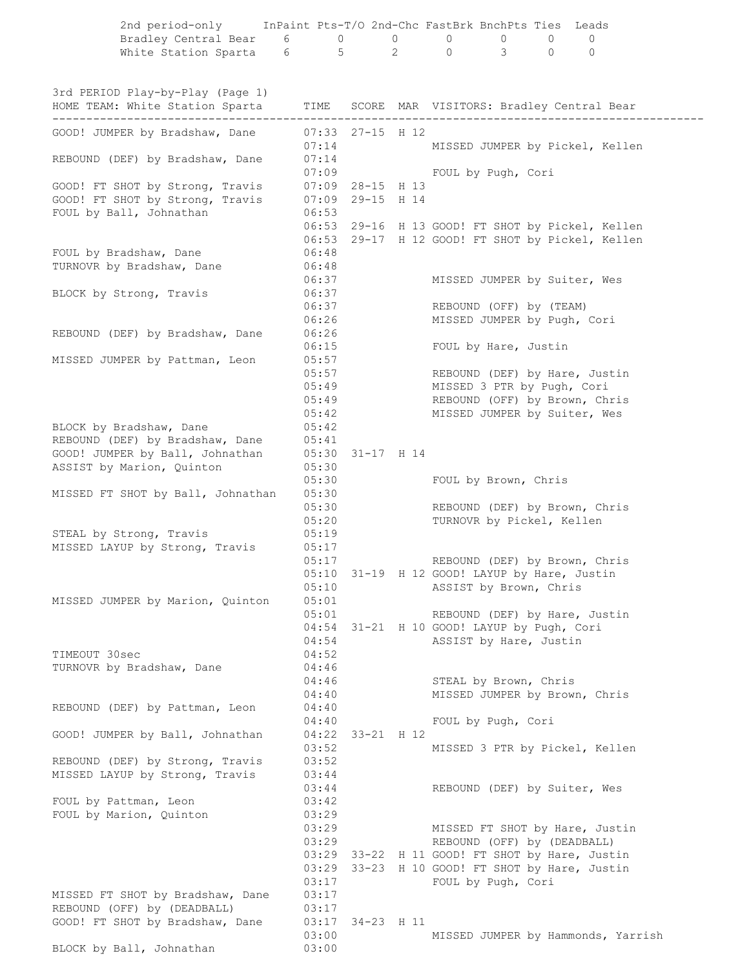| Bradley Central Bear 6 0<br>White Station Sparta 6 5                |                             |                  | $\overline{0}$ | $\overline{0}$ | $\overline{0}$                                                 | $\overline{0}$ | $\mathbf{0}$                                                                                         |  |
|---------------------------------------------------------------------|-----------------------------|------------------|----------------|----------------|----------------------------------------------------------------|----------------|------------------------------------------------------------------------------------------------------|--|
|                                                                     |                             |                  | $\overline{2}$ | $\Omega$       | $\mathcal{B}$                                                  | $\Omega$       | $\mathbf{0}$                                                                                         |  |
| 3rd PERIOD Play-by-Play (Page 1)<br>HOME TEAM: White Station Sparta |                             |                  |                |                |                                                                |                | TIME SCORE MAR VISITORS: Bradley Central Bear                                                        |  |
| GOOD! JUMPER by Bradshaw, Dane                                      | $07:33$ 27-15 H 12<br>07:14 |                  |                |                |                                                                |                | MISSED JUMPER by Pickel, Kellen                                                                      |  |
| REBOUND (DEF) by Bradshaw, Dane                                     | 07:14                       | 07:09            |                |                | FOUL by Pugh, Cori                                             |                |                                                                                                      |  |
| GOOD! FT SHOT by Strong, Travis                                     | 07:09 28-15 H 13            |                  |                |                |                                                                |                |                                                                                                      |  |
| GOOD! FT SHOT by Strong, Travis                                     | $07:09$ 29-15 H 14          |                  |                |                |                                                                |                |                                                                                                      |  |
| FOUL by Ball, Johnathan                                             | 06:53                       |                  |                |                |                                                                |                |                                                                                                      |  |
|                                                                     |                             |                  |                |                |                                                                |                | 06:53 29-16 H 13 GOOD! FT SHOT by Pickel, Kellen<br>06:53 29-17 H 12 GOOD! FT SHOT by Pickel, Kellen |  |
| FOUL by Bradshaw, Dane                                              | 06:48                       |                  |                |                |                                                                |                |                                                                                                      |  |
| TURNOVR by Bradshaw, Dane                                           | 06:48                       |                  |                |                |                                                                |                |                                                                                                      |  |
|                                                                     | 06:37                       |                  |                |                | MISSED JUMPER by Suiter, Wes                                   |                |                                                                                                      |  |
| BLOCK by Strong, Travis                                             | 06:37<br>06:37              |                  |                |                | REBOUND (OFF) by (TEAM)                                        |                |                                                                                                      |  |
|                                                                     | 06:26                       |                  |                |                | MISSED JUMPER by Pugh, Cori                                    |                |                                                                                                      |  |
| REBOUND (DEF) by Bradshaw, Dane                                     | 06:26                       |                  |                |                |                                                                |                |                                                                                                      |  |
|                                                                     | 06:15                       |                  |                |                | FOUL by Hare, Justin                                           |                |                                                                                                      |  |
| MISSED JUMPER by Pattman, Leon                                      | 05:57<br>05:57              |                  |                |                |                                                                |                | REBOUND (DEF) by Hare, Justin                                                                        |  |
|                                                                     | 05:49                       |                  |                |                | MISSED 3 PTR by Pugh, Cori                                     |                |                                                                                                      |  |
|                                                                     |                             | 05:49            |                |                |                                                                |                | REBOUND (OFF) by Brown, Chris                                                                        |  |
|                                                                     |                             | 05:42            |                |                | MISSED JUMPER by Suiter, Wes                                   |                |                                                                                                      |  |
| BLOCK by Bradshaw, Dane<br>REBOUND (DEF) by Bradshaw, Dane          | 05:42<br>05:41              |                  |                |                |                                                                |                |                                                                                                      |  |
| GOOD! JUMPER by Ball, Johnathan                                     |                             | 05:30 31-17 H 14 |                |                |                                                                |                |                                                                                                      |  |
| ASSIST by Marion, Quinton                                           | 05:30                       |                  |                |                |                                                                |                |                                                                                                      |  |
|                                                                     | 05:30                       |                  |                |                | FOUL by Brown, Chris                                           |                |                                                                                                      |  |
| MISSED FT SHOT by Ball, Johnathan                                   | 05:30<br>05:30              |                  |                |                |                                                                |                | REBOUND (DEF) by Brown, Chris                                                                        |  |
|                                                                     | 05:20                       |                  |                |                | TURNOVR by Pickel, Kellen                                      |                |                                                                                                      |  |
| STEAL by Strong, Travis                                             | 05:19                       |                  |                |                |                                                                |                |                                                                                                      |  |
| MISSED LAYUP by Strong, Travis                                      | 05:17                       |                  |                |                |                                                                |                |                                                                                                      |  |
|                                                                     | 05:17                       |                  |                |                | 05:10 31-19 H 12 GOOD! LAYUP by Hare, Justin                   |                | REBOUND (DEF) by Brown, Chris                                                                        |  |
|                                                                     | 05:10                       |                  |                |                | ASSIST by Brown, Chris                                         |                |                                                                                                      |  |
| MISSED JUMPER by Marion, Quinton                                    | 05:01                       |                  |                |                |                                                                |                |                                                                                                      |  |
|                                                                     | 05:01                       |                  |                |                |                                                                |                | REBOUND (DEF) by Hare, Justin                                                                        |  |
|                                                                     | 04:54<br>04:54              |                  |                |                | 31-21 H 10 GOOD! LAYUP by Pugh, Cori<br>ASSIST by Hare, Justin |                |                                                                                                      |  |
| TIMEOUT 30sec                                                       | 04:52                       |                  |                |                |                                                                |                |                                                                                                      |  |
| TURNOVR by Bradshaw, Dane                                           | 04:46                       |                  |                |                |                                                                |                |                                                                                                      |  |
|                                                                     | 04:46                       |                  |                |                | STEAL by Brown, Chris                                          |                |                                                                                                      |  |
| REBOUND (DEF) by Pattman, Leon                                      | 04:40<br>04:40              |                  |                |                |                                                                |                | MISSED JUMPER by Brown, Chris                                                                        |  |
|                                                                     | 04:40                       |                  |                |                | FOUL by Pugh, Cori                                             |                |                                                                                                      |  |
| GOOD! JUMPER by Ball, Johnathan                                     | 04:22                       | 33-21 H 12       |                |                |                                                                |                |                                                                                                      |  |
|                                                                     | 03:52<br>03:52              |                  |                |                |                                                                |                | MISSED 3 PTR by Pickel, Kellen                                                                       |  |
| REBOUND (DEF) by Strong, Travis<br>MISSED LAYUP by Strong, Travis   | 03:44                       |                  |                |                |                                                                |                |                                                                                                      |  |
|                                                                     | 03:44                       |                  |                |                | REBOUND (DEF) by Suiter, Wes                                   |                |                                                                                                      |  |
| FOUL by Pattman, Leon                                               | 03:42                       |                  |                |                |                                                                |                |                                                                                                      |  |
| FOUL by Marion, Quinton                                             | 03:29<br>03:29              |                  |                |                |                                                                |                |                                                                                                      |  |
|                                                                     | 03:29                       |                  |                |                | REBOUND (OFF) by (DEADBALL)                                    |                | MISSED FT SHOT by Hare, Justin                                                                       |  |
|                                                                     | 03:29                       | 33-22            |                |                |                                                                |                | H 11 GOOD! FT SHOT by Hare, Justin                                                                   |  |
|                                                                     | 03:29                       |                  |                |                |                                                                |                | 33-23 H 10 GOOD! FT SHOT by Hare, Justin                                                             |  |
| MISSED FT SHOT by Bradshaw, Dane                                    | 03:17<br>03:17              |                  |                |                | FOUL by Pugh, Cori                                             |                |                                                                                                      |  |
| REBOUND (OFF) by (DEADBALL)                                         | 03:17                       |                  |                |                |                                                                |                |                                                                                                      |  |
| GOOD! FT SHOT by Bradshaw, Dane                                     | 03:17                       | 34-23 H 11       |                |                |                                                                |                |                                                                                                      |  |
|                                                                     | 03:00                       |                  |                |                |                                                                |                | MISSED JUMPER by Hammonds, Yarrish                                                                   |  |
| BLOCK by Ball, Johnathan                                            | 03:00                       |                  |                |                |                                                                |                |                                                                                                      |  |

2nd period-only InPaint Pts-T/O 2nd-Chc FastBrk BnchPts Ties Leads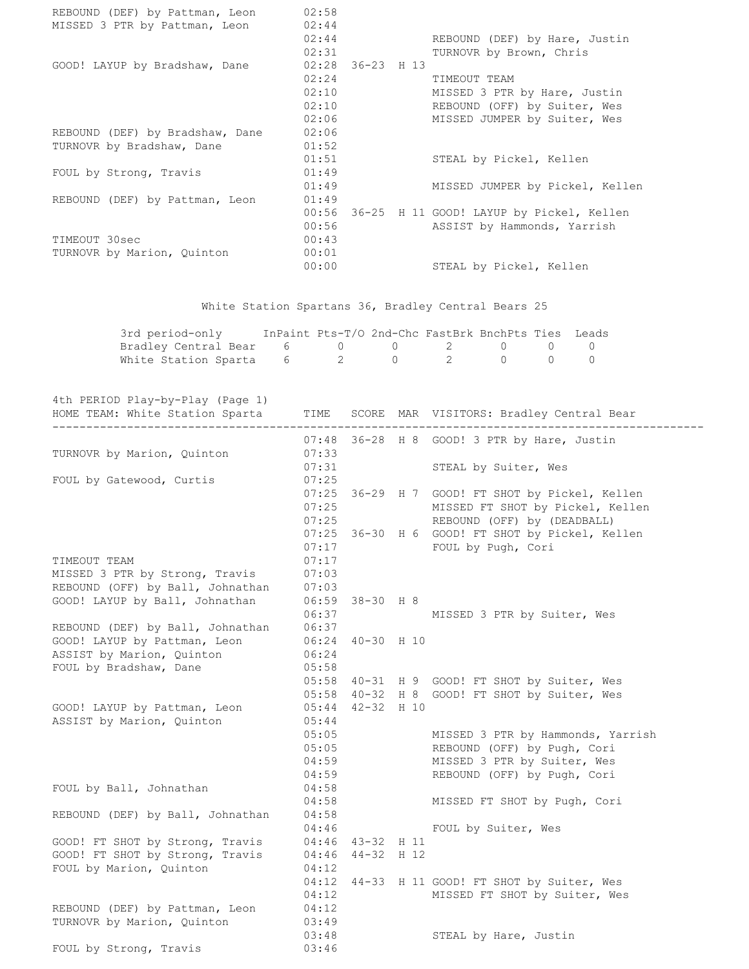| REBOUND (DEF) by Pattman, Leon  | 02:58 |                    |                                          |
|---------------------------------|-------|--------------------|------------------------------------------|
| MISSED 3 PTR by Pattman, Leon   | 02:44 |                    |                                          |
|                                 | 02:44 |                    | REBOUND (DEF) by Hare, Justin            |
|                                 | 02:31 |                    | TURNOVR by Brown, Chris                  |
| GOOD! LAYUP by Bradshaw, Dane   |       | $02:28$ 36-23 H 13 |                                          |
|                                 | 02:24 |                    | TIMEOUT TEAM                             |
|                                 | 02:10 |                    | MISSED 3 PTR by Hare, Justin             |
|                                 | 02:10 |                    | REBOUND (OFF) by Suiter, Wes             |
|                                 | 02:06 |                    | MISSED JUMPER by Suiter, Wes             |
| REBOUND (DEF) by Bradshaw, Dane | 02:06 |                    |                                          |
| TURNOVR by Bradshaw, Dane       | 01:52 |                    |                                          |
|                                 | 01:51 |                    | STEAL by Pickel, Kellen                  |
| FOUL by Strong, Travis          | 01:49 |                    |                                          |
|                                 | 01:49 |                    | MISSED JUMPER by Pickel, Kellen          |
| REBOUND (DEF) by Pattman, Leon  | 01:49 |                    |                                          |
|                                 | 00:56 |                    | 36-25 H 11 GOOD! LAYUP by Pickel, Kellen |
|                                 | 00:56 |                    | ASSIST by Hammonds, Yarrish              |
| TIMEOUT 30sec                   | 00:43 |                    |                                          |
| TURNOVR by Marion, Quinton      | 00:01 |                    |                                          |
|                                 | 00:00 |                    | STEAL by Pickel, Kellen                  |

White Station Spartans 36, Bradley Central Bears 25

| 3rd period-only                                                                                                | InPaint Pts-T/O 2nd-Chc FastBrk BnchPts Ties Leads |  |  |  |
|----------------------------------------------------------------------------------------------------------------|----------------------------------------------------|--|--|--|
| Bradley Central Bear 6 0 0 2 0 0 0                                                                             |                                                    |  |  |  |
| White Station Sparta 6 and 2 and 2 and 0 and 0 and 0 and 0 and 0 and 0 and 0 and 0 and 0 and 0 and 0 and 0 and |                                                    |  |  |  |

4th PERIOD Play-by-Play (Page 1)

| HOME TEAM: White Station Sparta  | TIME             | ---------        | SCORE MAR VISITORS: Bradley Central Bear        |
|----------------------------------|------------------|------------------|-------------------------------------------------|
|                                  |                  |                  | 07:48 36-28 H 8 GOOD! 3 PTR by Hare, Justin     |
| TURNOVR by Marion, Quinton       | 07:33            |                  |                                                 |
|                                  | 07:31            |                  | STEAL by Suiter, Wes                            |
| FOUL by Gatewood, Curtis         | 07:25            |                  |                                                 |
|                                  |                  |                  | 07:25 36-29 H 7 GOOD! FT SHOT by Pickel, Kellen |
|                                  | 07:25            |                  | MISSED FT SHOT by Pickel, Kellen                |
|                                  | 07:25            |                  | REBOUND (OFF) by (DEADBALL)                     |
|                                  |                  |                  | 07:25 36-30 H 6 GOOD! FT SHOT by Pickel, Kellen |
|                                  | 07:17            |                  | FOUL by Pugh, Cori                              |
| TIMEOUT TEAM                     | 07:17            |                  |                                                 |
| MISSED 3 PTR by Strong, Travis   | 07:03            |                  |                                                 |
| REBOUND (OFF) by Ball, Johnathan | 07:03            |                  |                                                 |
| GOOD! LAYUP by Ball, Johnathan   |                  | 06:59 38-30 H 8  |                                                 |
|                                  | 06:37            |                  | MISSED 3 PTR by Suiter, Wes                     |
| REBOUND (DEF) by Ball, Johnathan | 06:37            |                  |                                                 |
| GOOD! LAYUP by Pattman, Leon     |                  | 06:24 40-30 H 10 |                                                 |
| ASSIST by Marion, Quinton        | 06:24            |                  |                                                 |
| FOUL by Bradshaw, Dane           | 05:58            |                  |                                                 |
|                                  | 05:58            |                  | 40-31 H 9 GOOD! FT SHOT by Suiter, Wes          |
|                                  |                  |                  | 05:58 40-32 H 8 GOOD! FT SHOT by Suiter, Wes    |
| GOOD! LAYUP by Pattman, Leon     | 05:44            | $42 - 32$ H 10   |                                                 |
| ASSIST by Marion, Quinton        | 05:44            |                  |                                                 |
|                                  | 05:05            |                  | MISSED 3 PTR by Hammonds, Yarrish               |
|                                  | 05:05            |                  | REBOUND (OFF) by Pugh, Cori                     |
|                                  | 04:59            |                  | MISSED 3 PTR by Suiter, Wes                     |
|                                  | 04:59            |                  | REBOUND (OFF) by Pugh, Cori                     |
| FOUL by Ball, Johnathan          | 04:58            |                  |                                                 |
|                                  | 04:58            |                  | MISSED FT SHOT by Pugh, Cori                    |
| REBOUND (DEF) by Ball, Johnathan | 04:58            |                  |                                                 |
|                                  | 04:46            |                  | FOUL by Suiter, Wes                             |
| GOOD! FT SHOT by Strong, Travis  | 04:46 43-32 H 11 |                  |                                                 |
| GOOD! FT SHOT by Strong, Travis  | 04:46            | 44-32 H 12       |                                                 |
| FOUL by Marion, Quinton          | 04:12            |                  |                                                 |
|                                  |                  |                  | 04:12 44-33 H 11 GOOD! FT SHOT by Suiter, Wes   |
|                                  | 04:12            |                  | MISSED FT SHOT by Suiter, Wes                   |
| REBOUND (DEF) by Pattman, Leon   | 04:12            |                  |                                                 |
| TURNOVR by Marion, Quinton       | 03:49            |                  |                                                 |
|                                  | 03:48            |                  | STEAL by Hare, Justin                           |
| FOUL by Strong, Travis           | 03:46            |                  |                                                 |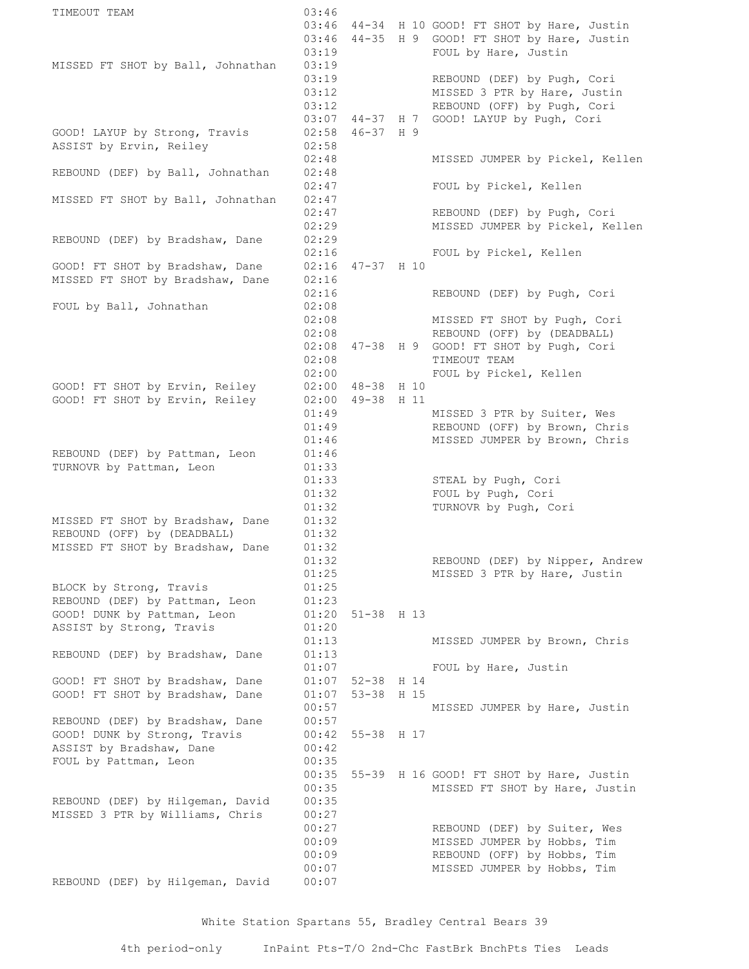TIMEOUT TEAM 03:46  $03:46$   $44-34$  H 10 GOOD! FT SHOT by Hare, Justin  $03:46$   $44-35$  H 9 GOOD! FT SHOT by Hare, Justin 03:19 FOUL by Hare, Justin MISSED FT SHOT by Ball, Johnathan 03:19 03:19 REBOUND (DEF) by Pugh, Cori 03:12 MISSED 3 PTR by Hare, Justin 03:12 REBOUND (OFF) by Pugh, Cori 03:07 44-37 H 7 GOOD! LAYUP by Pugh, Cori GOOD! LAYUP by Strong, Travis 02:58 46-37 H 9 ASSIST by Ervin, Reiley 02:58 02:48 MISSED JUMPER by Pickel, Kellen REBOUND (DEF) by Ball, Johnathan 02:48 02:47 FOUL by Pickel, Kellen MISSED FT SHOT by Ball, Johnathan 02:47<br>02:47<br>02:29 02:47 REBOUND (DEF) by Pugh, Cori 02:29 MISSED JUMPER by Pickel, Kellen REBOUND (DEF) by Bradshaw, Dane 02:29 02.23<br>02:16 FOUL by Pickel, Kellen GOOD! FT SHOT by Bradshaw, Dane 02:16 47-37 H 10 MISSED FT SHOT by Bradshaw, Dane 02:16 02:16 REBOUND (DEF) by Pugh, Cori FOUL by Ball, Johnathan 02:08 02:08 MISSED FT SHOT by Pugh, Cori 02:08 REBOUND (OFF) by (DEADBALL) 02:08 47-38 H 9 GOOD! FT SHOT by Pugh, Cori 02:08 TIMEOUT TEAM 02:00 FOUL by Pickel, Kellen GOOD! FT SHOT by Ervin, Reiley 02:00 48-38 H 10 GOOD! FT SHOT by Ervin, Reiley 02:00 48-38 H 10<br>GOOD! FT SHOT by Ervin, Reiley 02:00 49-38 H 11 01:49 MISSED 3 PTR by Suiter, Wes 01:49 REBOUND (OFF) by Brown, Chris 01:46 MISSED JUMPER by Brown, Chris REBOUND (DEF) by Pattman, Leon 01:46 TURNOVR by Pattman, Leon 01:33 01:33 STEAL by Pugh, Cori  $01:32$  FOUL by Pugh, Cori 01:32 TURNOVR by Pugh, Cori MISSED FT SHOT by Bradshaw, Dane 01:32 REBOUND (OFF) by (DEADBALL) 01:32 MISSED FT SHOT by Bradshaw, Dane 01:32 01:32 REBOUND (DEF) by Nipper, Andrew 01:25 MISSED 3 PTR by Hare, Justin BLOCK by Strong, Travis (01:25) REBOUND (DEF) by Pattman, Leon 01:23 GOOD! DUNK by Pattman, Leon 01:20 51-38 H 13 ASSIST by Strong, Travis (01:20) ASSIST by Strong, Travis  $01:20$ <br> $01:13$  MISSED JUMPER by Brown, Chris REBOUND (DEF) by Bradshaw, Dane 01:13 01:07 FOUL by Hare, Justin GOOD! FT SHOT by Bradshaw, Dane 01:07 52-38 H 14 GOOD! FT SHOT by Bradshaw, Dane  $01:07$  53-38 H 15 00:57 MISSED JUMPER by Hare, Justin REBOUND (DEF) by Bradshaw, Dane 00:57 GOOD! DUNK by Strong, Travis  $00:42$  55-38 H 17 ASSIST by Bradshaw, Dane 00:42 FOUL by Pattman, Leon 00:35 00:35 55-39 H 16 GOOD! FT SHOT by Hare, Justin 00:35 MISSED FT SHOT by Hare, Justin REBOUND (DEF) by Hilgeman, David 00:35 MISSED 3 PTR by Williams, Chris 00:27 00:27 REBOUND (DEF) by Suiter, Wes 00:09 MISSED JUMPER by Hobbs, Tim 00:09 REBOUND (OFF) by Hobbs, Tim 00:07 MISSED JUMPER by Hobbs, Tim REBOUND (DEF) by Hilgeman, David 00:07

White Station Spartans 55, Bradley Central Bears 39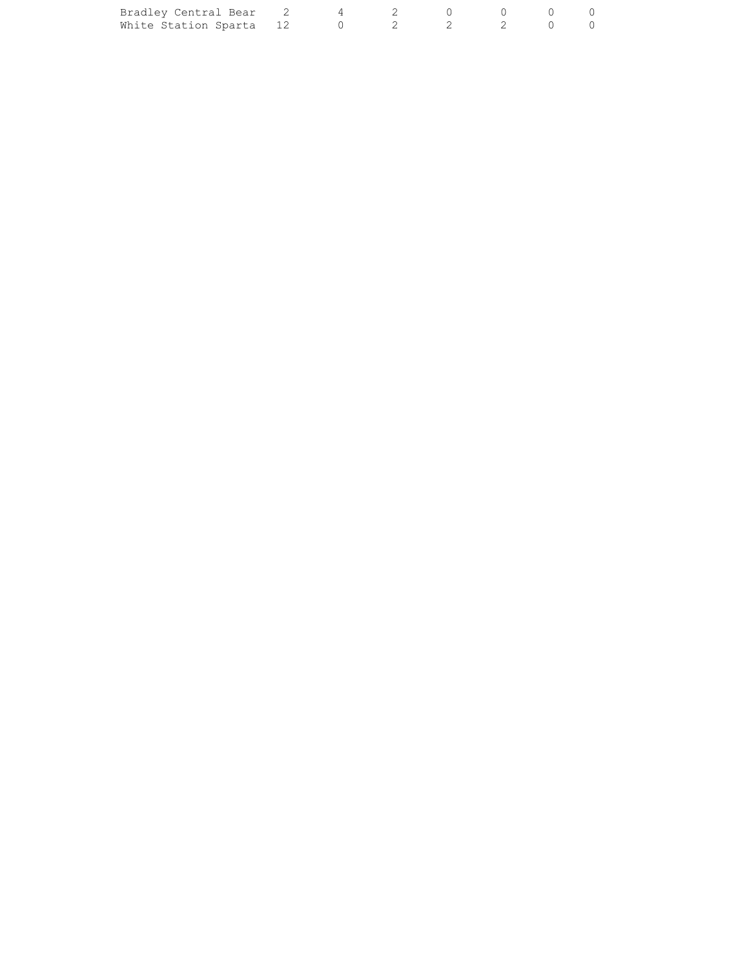| Bradley Central Bear 2 4 2 0 0 0 0  |  |  |  |  |
|-------------------------------------|--|--|--|--|
| White Station Sparta 12 0 2 2 2 0 0 |  |  |  |  |